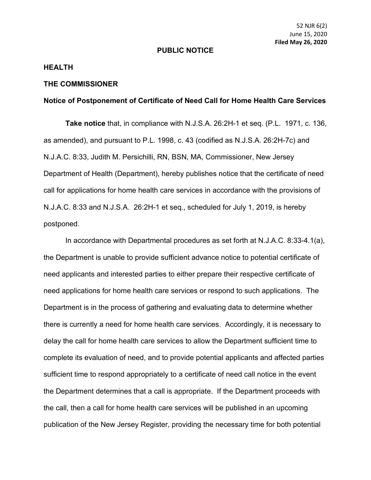## **PUBLIC NOTICE**

## **HEALTH**

## **THE COMMISSIONER**

## **Notice of Postponement of Certificate of Need Call for Home Health Care Services**

**Take notice** that, in compliance with N.J.S.A. 26:2H-1 et seq. (P.L. 1971, c. 136, as amended), and pursuant to P.L. 1998, c. 43 (codified as N.J.S.A. 26:2H-7c) and N.J.A.C. 8:33, Judith M. Persichilli, RN, BSN, MA, Commissioner, New Jersey Department of Health (Department), hereby publishes notice that the certificate of need call for applications for home health care services in accordance with the provisions of N.J.A.C. 8:33 and N.J.S.A. 26:2H-1 et seq., scheduled for July 1, 2019, is hereby postponed.

In accordance with [Departmental procedures as set forth at N.J.A.C. 8:33-4.1\(a\),](https://web.lexisnexis.com/research/buttonTFLink?_m=47b18c2b046b73e001e4907009233ce5&_xfercite=%3ccite%20cc%3d%22USA%22%3e%3c%21%5bCDATA%5b45%20N.J.R.%20954%28b%29%5d%5d%3e%3c%2fcite%3e&_butType=4&_butStat=0&_butNum=7&_butInline=1&_butinfo=NJ%20ADMIN%208%3a33-4.1&_fmtstr=FULL&docnum=3&_startdoc=1&wchp=dGLbVzt-zSkAA&_md5=de1196de43116b06056b0452d75ab0a6) the Department is unable to provide sufficient advance notice to potential certificate of need applicants and interested parties to either prepare their respective certificate of need applications for home health care services or respond to such applications. The Department is in the process of gathering and evaluating data to determine whether there is currently a need for home health care services. Accordingly, it is necessary to delay the call for home health care services to allow the Department sufficient time to complete its evaluation of need, and to provide potential applicants and affected parties sufficient time to respond appropriately to a certificate of need call notice in the event the Department determines that a call is appropriate. If the Department proceeds with the call, then a call for home health care services will be published in an upcoming publication of the New Jersey Register, providing the necessary time for both potential